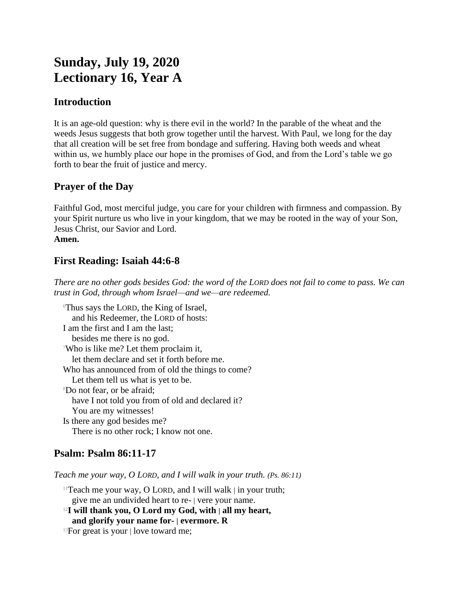# **Sunday, July 19, 2020 Lectionary 16, Year A**

### **Introduction**

It is an age-old question: why is there evil in the world? In the parable of the wheat and the weeds Jesus suggests that both grow together until the harvest. With Paul, we long for the day that all creation will be set free from bondage and suffering. Having both weeds and wheat within us, we humbly place our hope in the promises of God, and from the Lord's table we go forth to bear the fruit of justice and mercy.

### **Prayer of the Day**

Faithful God, most merciful judge, you care for your children with firmness and compassion. By your Spirit nurture us who live in your kingdom, that we may be rooted in the way of your Son, Jesus Christ, our Savior and Lord. **Amen.**

# **First Reading: Isaiah 44:6-8**

*There are no other gods besides God: the word of the LORD does not fail to come to pass. We can trust in God, through whom Israel—and we—are redeemed.*

<sup>6</sup>Thus says the LORD, the King of Israel, and his Redeemer, the LORD of hosts: I am the first and I am the last; besides me there is no god. <sup>7</sup>Who is like me? Let them proclaim it, let them declare and set it forth before me. Who has announced from of old the things to come? Let them tell us what is yet to be. <sup>8</sup>Do not fear, or be afraid; have I not told you from of old and declared it? You are my witnesses! Is there any god besides me? There is no other rock; I know not one.

## **Psalm: Psalm 86:11-17**

*Teach me your way, O LORD, and I will walk in your truth. (Ps. 86:11)*

<sup>11</sup>Teach me your way, O LORD, and I will walk  $|$  in your truth; give me an undivided heart to re- | vere your name.

<sup>12</sup>**I will thank you, O Lord my God, with | all my heart,**

**and glorify your name for- | evermore. R**

<sup>13</sup>For great is your | love toward me;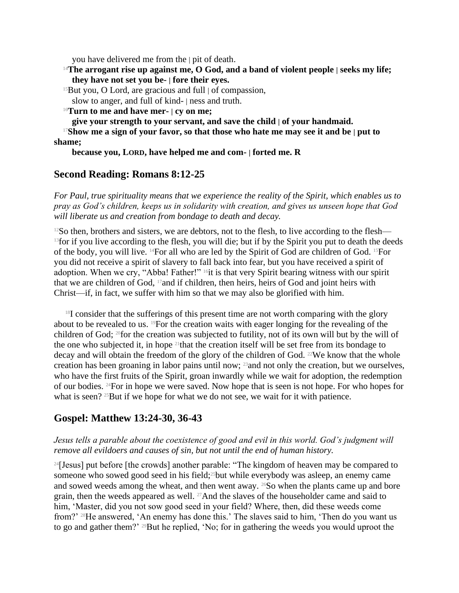you have delivered me from the | pit of death.

<sup>14</sup>**The arrogant rise up against me, O God, and a band of violent people | seeks my life; they have not set you be- | fore their eyes.**

 $15$ But you, O Lord, are gracious and full  $\vert$  of compassion,

slow to anger, and full of kind- | ness and truth.

<sup>16</sup>**Turn to me and have mer- | cy on me;**

**give your strength to your servant, and save the child | of your handmaid.**

<sup>17</sup>**Show me a sign of your favor, so that those who hate me may see it and be | put to shame;**

**because you, LORD, have helped me and com- | forted me. R**

### **Second Reading: Romans 8:12-25**

*For Paul, true spirituality means that we experience the reality of the Spirit, which enables us to pray as God's children, keeps us in solidarity with creation, and gives us unseen hope that God will liberate us and creation from bondage to death and decay.*

 $12$ So then, brothers and sisters, we are debtors, not to the flesh, to live according to the flesh— <sup>13</sup> for if you live according to the flesh, you will die; but if by the Spirit you put to death the deeds of the body, you will live. 14For all who are led by the Spirit of God are children of God. 15For you did not receive a spirit of slavery to fall back into fear, but you have received a spirit of adoption. When we cry, "Abba! Father!" <sup>16</sup>it is that very Spirit bearing witness with our spirit that we are children of God, 17and if children, then heirs, heirs of God and joint heirs with Christ—if, in fact, we suffer with him so that we may also be glorified with him.

 $18I$  consider that the sufferings of this present time are not worth comparing with the glory about to be revealed to us. 19For the creation waits with eager longing for the revealing of the children of God; 20for the creation was subjected to futility, not of its own will but by the will of the one who subjected it, in hope <sup>21</sup>that the creation itself will be set free from its bondage to decay and will obtain the freedom of the glory of the children of God. <sup>22</sup>We know that the whole creation has been groaning in labor pains until now; 23and not only the creation, but we ourselves, who have the first fruits of the Spirit, groan inwardly while we wait for adoption, the redemption of our bodies. 24For in hope we were saved. Now hope that is seen is not hope. For who hopes for what is seen? <sup>25</sup>But if we hope for what we do not see, we wait for it with patience.

### **Gospel: Matthew 13:24-30, 36-43**

#### *Jesus tells a parable about the coexistence of good and evil in this world. God's judgment will remove all evildoers and causes of sin, but not until the end of human history.*

<sup>24</sup>[Jesus] put before [the crowds] another parable: "The kingdom of heaven may be compared to someone who sowed good seed in his field;<sup>25</sup>but while everybody was asleep, an enemy came and sowed weeds among the wheat, and then went away. <sup>26</sup>So when the plants came up and bore grain, then the weeds appeared as well. <sup>27</sup>And the slaves of the householder came and said to him, 'Master, did you not sow good seed in your field? Where, then, did these weeds come from?' 28He answered, 'An enemy has done this.' The slaves said to him, 'Then do you want us to go and gather them?' <sup>29</sup>But he replied, 'No; for in gathering the weeds you would uproot the